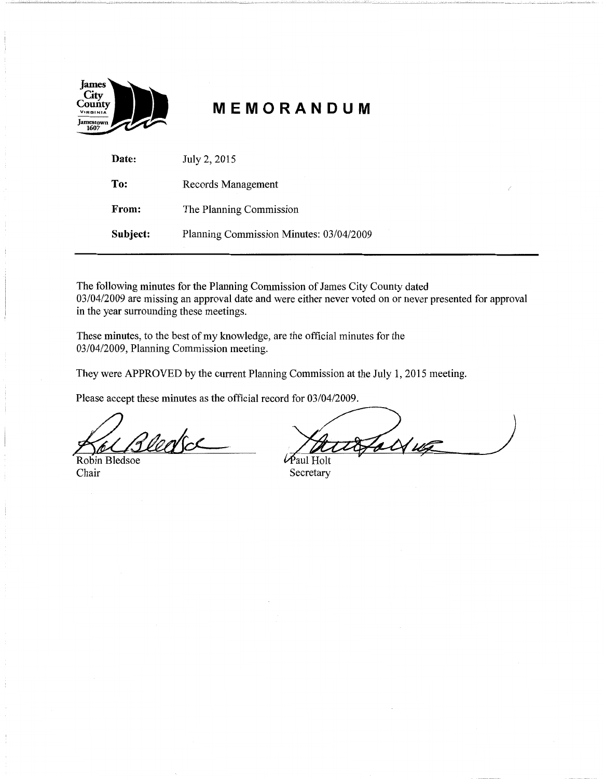

# **MEMORANDUM**

| Date:    | July 2, 2015                            |
|----------|-----------------------------------------|
| To:      | Records Management                      |
| From:    | The Planning Commission                 |
| Subject: | Planning Commission Minutes: 03/04/2009 |

The following minutes for the Planning Commission of James City County dated 03/04/2009 are missing an approval date and were either never voted on or never presented for approval in the year surrounding these meetings.

These minutes, to the best of my knowledge, are the official minutes for the 03/04/2009, Planning Commission meeting.

They were APPROVED by the current Planning Commission at the July 1, 2015 meeting.

Please accept these minutes as the official record for 03/04/2009.

Vertoe

Robin Bledsoe Chair

 $\mathcal{U}$ 

*~aulHolt*  Secretary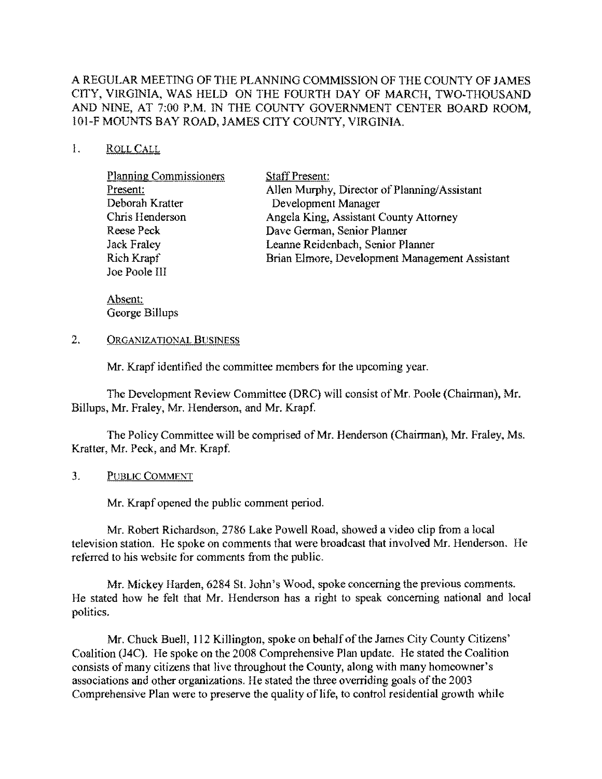## A REGULAR MEETING OF THE PLANNING COMMISSION OF THE COUNTY OF JAMES CITY, VIRGINIA, WAS HELD ON THE FOURTH DAY OF MARCH, TWO-THOUSAND AND NINE, AT 7:00 P.M. IN THE COUNTY GOVERNMENT CENTER BOARD ROOM, IOI-F MOUNTS BAY ROAD, JAMES CITY COUNTY, VIRGINIA.

#### I. ROLLCALL

| Allen Murphy, Director of Planning/Assistant   |
|------------------------------------------------|
|                                                |
|                                                |
|                                                |
|                                                |
| Brian Elmore, Development Management Assistant |
|                                                |
|                                                |

Absent: George Billups

2. ORGANIZATIONAL BUSINESS

Mr. Krapf identified the committee members for the upcoming year.

The Development Review Committee (DRC) will consist of Mr. Poole (Chairman), Mr. Billups, Mr. Fraley, Mr. Henderson, and Mr. Krapf.

The Policy Committee will be comprised of Mr. Henderson (Chairman), Mr. Fraley, Ms. Kratter, Mr. Peck, and Mr. Krapf.

3. PUBLIC COMMENT

Mr. Krapf opened the public comment period.

Mr. Robert Richardson, 2786 Lake Powell Road, showed a video clip from a local television station. He spoke on comments that were broadcast that involved Mr. Henderson. He referred to his website for comments from the public.

Mr. Mickey Harden, 6284 St. John's Wood, spoke concerning the previous comments. He stated how he felt that Mr. Henderson has a right to speak concerning national and local politics.

Mr. Chuck Buell, 112 Killington, spoke on behalf of the James City County Citizens' Coalition (J4C). He spoke on the 2008 Comprehensive Plan update. He stated the Coalition consists of many citizens that live throughout the County, along with many homeowner's associations and other organizations. He stated the three overriding goals of the 2003 Comprehensive Plan were to preserve the quality of life, to control residential growth while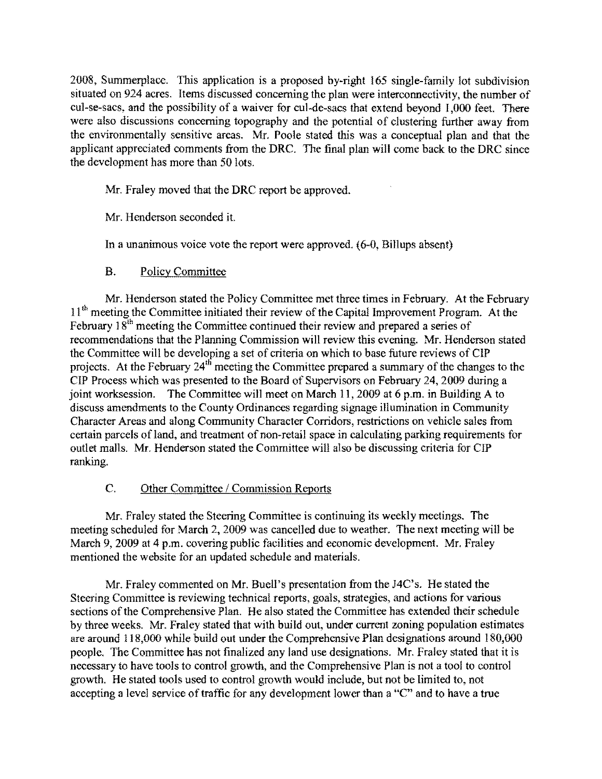2008, Summerplacc. This application is a proposed by-right 165 single-family lot subdivision situated on 924 acres. Items discussed concerning the plan were interconneetivity, the number of cul-se-sacs, and the possibility of a waiver for cul-de-sacs that extend beyond 1,000 feet. There were also discussions concerning topography and the potential of clustering further away from the environmentally sensitive areas. Mr. Poole stated this was a conceptual plan and that the applicant appreciated comments from the ORC. The final plan will come back to the ORC since the development has more than 50 lots.

Mr. Fraley moved that the ORC report be approved.

Mr. Henderson seconded it.

In a unanimous voice vote the report werc approved. (6-0, Billups absent)

#### B. Poliey Committee

Mr. Henderson stated the Policy Committee met three times in February. At the February 11<sup>th</sup> meeting the Committee initiated their review of the Capital Improvement Program. At the February  $18<sup>th</sup>$  meeting the Committee continued their review and prepared a series of recommendations that the Planning Commission will review this evening. Mr. Henderson stated the Committee will be developing a set of eriteria on which to base future reviews of CIP projects. At the February  $24<sup>th</sup>$  meeting the Committee prepared a summary of the changes to the CIP Process which was presented to the Board of Supervisors on February 24, 2009 during a joint worksession. The Committee will meet on March 11, 2009 at 6 p.m. in Building A to discuss amendments to the County Ordinances regarding signage illumination in Community Character Areas and along Community Character Corridors, restrictions on vehicle sales from certain parcels of land, and treatment of non-retail space in calculating parking requirements for outlet malls. Mr. Henderson stated the Committee will also be discussing criteria for CIP ranking.

## C. Other Committee / Commission Reports

Mr. Fraley stated the Steering Committee is continuing its weekly meetings. The meeting scheduled for March 2, 2009 was cancelled due to weather. The next meeting will be March 9, 2009 at 4 p.m. covering public facilities and economic development. Mr. Fraley mentioned the website for an updated schedule and materials.

Mr. Fraley commented on Mr. Buell's presentation from the J4C's. He stated the Steering Committee is reviewing technieal reports, goals, strategies, and actions for various sections of the Comprehensive Plan. He also stated the Committee has extended their schedule by three weeks. Mr. Fraley stated that with build out, under current zoning population estimates are around 118,000 while build out under the Comprehensive Plan designations around 180,000 people. The Committee has not finalized any land use designations. Mr. Fraley stated that it is necessary to have tools to control growth, and the Comprehensive Plan is not a tool to control growth. He stated tools used to control growth would include, but not be limited to, not accepting a level service of traffic for any development lower than a "C" and to have a true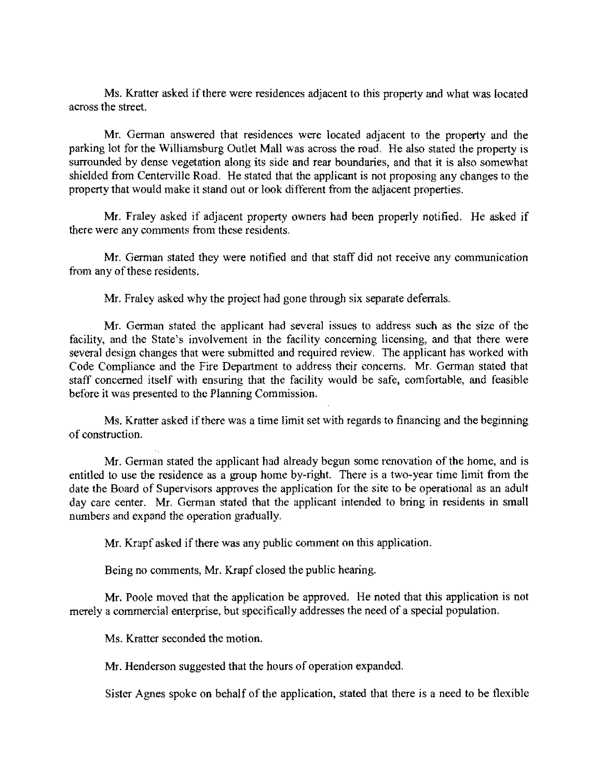Ms. Kratter asked if there were residences adjacent to this property and what was located across the street.

Mr. German answered that residences were located adjacent to the property and the parking lot for the Williamsburg Outlet Mall was across the road. He also stated the property is surrounded by dense vegetation along its side and rear boundaries, and that it is also somewhat shielded from Centerville Road. He stated that the applicant is not proposing any changes to the property that would make it stand out or look di fferent from the adjacent properties.

Mr. Fraley asked if adjacent property owners had been properly notified. He asked if there were any comments from these residents.

Mr. German stated they were notified and that staff did not receive any communication from any of these residents.

Mr. Fraley asked why the project had gone through six separate deferrals.

Mr. German stated the applicant had several issues to address such as the size of the facility, and the State's involvement in the facility concerning licensing, and that there were several design changes that were submitted and required review. The applicant has worked with Code Compliance and the Fire Department to address their concerns. Mr. German stated that staff concerned itself with ensuring that the facility would be safe, comfortable, and feasible before it was presented to the Planning Commission.

Ms. Kratter asked if there was a time limit set with regards to financing and the beginning of construction.

Mr. German stated the applicant had already begun some renovation of the home, and is entitled to use the residence as a group home by-right. There is a two-year time limit from the date the Board of Supervisors approves the application for the site to be operational as an adult day care center. Mr. German stated that the applicant intended to bring in residents in small numbers and expand the operation gradually.

Mr. Krapf asked if there was any public comment on this application.

Being no comments, Mr. Krapf closed the public hearing.

Mr. Poole moved that the application be approved. He noted that this application is not merely a commercial enterprise, but specifically addresses the need of a special population.

Ms. Kratter seconded the motion.

Mr. Henderson suggested that the hours of operation expanded.

Sister Agnes spoke on behalf of the application, stated that there is a need to be flexible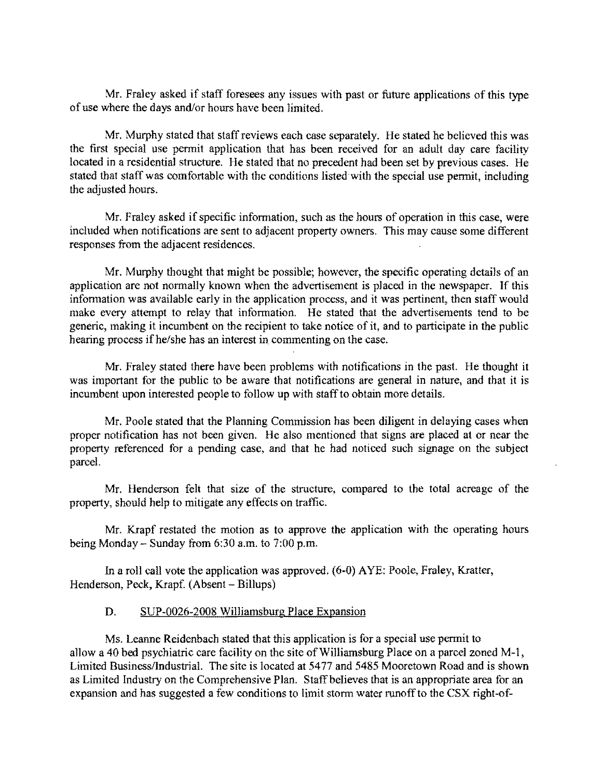Mr. Fraley asked if staff foresees any issues with past or future applications of this type of use where the days and/or hours have been limited.

Mr. Murphy stated that staff reviews each case separately. He stated he believed this was the first special use permit application that has been received for an adult day care facility located in a residential structure. He stated that no precedent had been set by previous cases. He stated that staff was comfortable with the conditions listed with the special use permit, including the adjusted hours.

Mr. Fraley asked if specific information, such as the hours of operation in this case, were included when notifications are sent to adjacent property owners. This may cause some different responses from the adjacent residences.

Mr. Murphy thought that might be possible; however, the specific operating details of an application are not normally known when the advertisement is placed in the newspaper. If this information was available early in the application process, and it was pertinent, then staff would make every attempt to relay that information. He stated that the advertisements tend to be generic, making it incumbent on the recipient to take notice of it, and to participate in the public hearing process if he/she has an interest in commenting on the case.

Mr. Fraley stated there have been problems with notifications in the past. He thought it was important for the public to be aware that notifications are general in nature, and that it is incumbent upon interested people to follow up with staff to obtain more details.

Mr. Poole stated that the Planning Commission has been diligent in delaying cases when proper notification has not been given. He also mentioned that signs are placed at or near the property referenced for a pending case, and that he had noticed such signage on the subject parccl.

Mr. Henderson felt that size of the structure, compared to the total acreage of the property, should help to mitigate any effects on traffic.

Mr. Krapf restated the motion as to approve the application with the operating hours being Monday - Sunday from 6:30 a.m. to 7:00 p.m.

In a roll call vote the application was approved. (6-0) AYE: Poole, Fraley, Kratter, Henderson, Peek, Krapf. (Absent - Billups)

#### D. SUP-0026-2008 Williamsburg Place Expansion

Ms. Leanne Reidenbach stated that this application is for a spccial use permit to allow a 40 bed psychiatric care facility on the site of Williamsburg Place on a parcel zoned M-1, Limited Business/Industrial. The site is located at 5477 and 5485 Mooretown Road and is shown as Limited Industry on the Comprehensive Plan. Staff believes that is an appropriate area for an expansion and has suggested a few conditions to limit storm water runoff to the CSX right-of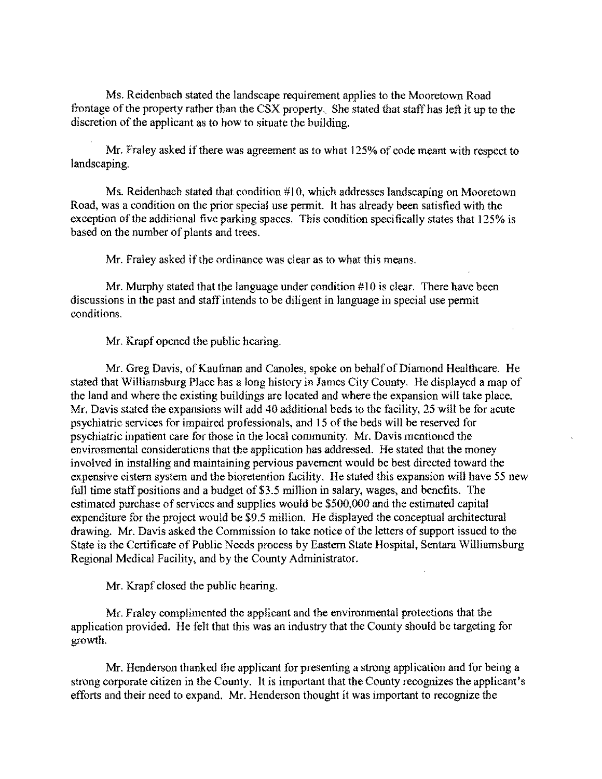Ms. Reidenbach stated the landscape requirement applies to the Mooretown Road frontage of the property rather than the CSX property. She stated that staff has left it up to the discretion of the applicant as to how to situate the building.

Mr. Fraley asked if there was agreement as to what 125% of code meant with respect to landscaping.

Ms. Reidenbach stated that condition  $#10$ , which addresses landscaping on Mooretown Road, was a condition on the prior special use permit. It has already been satisfied with the exception of the additional five parking spaces. This condition specifically states that 125% is based on the number of plants and trees.

Mr. Fraley asked if the ordinance was clear as to what this means.

Mr. Murphy stated that the language under condition #10 is clear. There have been discussions in the past and staff intends to be diligent in language in special use permit conditions.

Mr. Krapf opened the public hearing.

Mr. Greg Davis, of Kaufman and Canoles, spoke on behalf of Diamond Healthcare. He stated that Williamsburg Place has a long history in James City County. He displayed a map of the land and where the existing buildings are located and where the expansion will take place. Mr. Davis stated the expansions will add 40 additional beds to the facility, 25 will be for acute psychiatric services for impaired professionals, and 15 of the beds will be reserved for psychiatric inpatient care for those in the local community. Mr. Davis mentioned the environmental considerations that the application has addressed. He stated that the money involved in installing and maintaining pervious pavement would be best directed toward the expensive cistem system and the bioretention facility. He stated this expansion will have 55 new full time staff positions and a budget of \$3.5 million in salary, wages, and benefits. The estimated purchase of services and supplies would be \$500,000 and the estimated capital expenditure for the projeet would be \$9.5 million. He displayed the conceptual architectural drawing. Mr. Davis asked the Commission to take notice of the letters of support issued to the State in the Certificate of Public Needs process by Eastem State Hospital, Sentara Williamsburg Regional Medical Facility, and by the County Administrator.

Mr. Krapf closed the public hearing.

Mr. Fraley complimented the applicant and the environmental protections that the application provided. He fclt that this was an industry that the County should be targeting for growth.

Mr. Henderson thanked the applicant for presenting a strong application and for being a strong corporate citizen in the County. It is important that the County recognizes the applicant's efforts and their need to expand. Mr. Henderson thought it was important to recognize the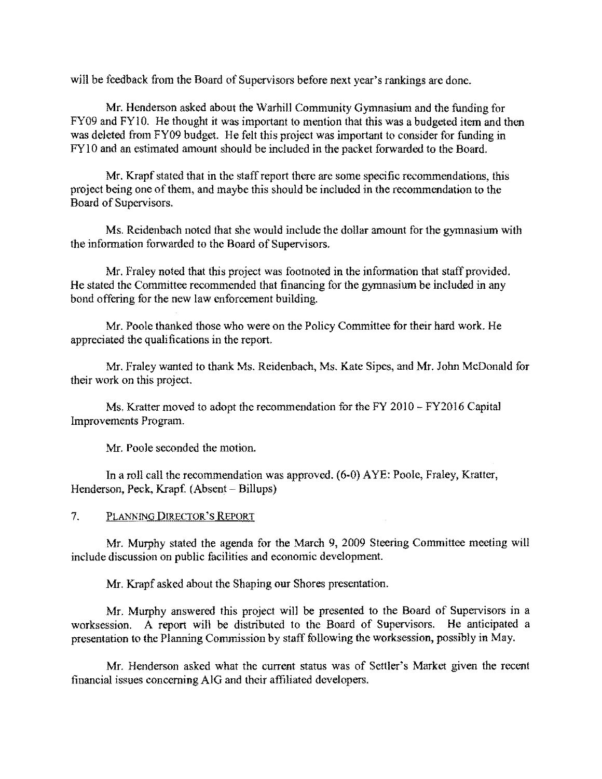will be feedback from the Board of Supervisors before next year's rankings are done.

Mr. Henderson asked about the Warhill Community Gymnasium and the funding for FY09 and FY10. He thought it was important to mention that this was a budgeted item and then was deleted from FY09 budget. He felt this project was important to consider for funding in FY10 and an estimated amount should be included in the packet forwarded to the Board.

Mr. Krapf stated that in the staff report there are some specifie recommendations, this project being one of them, and maybe this should be included in the recommendation to the Board of Supervisors.

Ms. Reidenbach noted that she would include the dollar amount for the gymnasium with the information forwarded to the Board of Supervisors.

Mr. Fraley noted that this project was footnoted in the information that staff provided. He stated the Committee recommended that financing for the gymnasium be included in any bond offering for the new law enforcement building.

Mr. Poole thanked those who were on the Policy Committee for their hard work. He appreciated the quali fications in the report.

Mr. Fraley wanted to thank Ms. Reidenbach, Ms. Kate Sipes, and Mr. John McDonald for their work on this project.

Ms. Kratter moved to adopt the recommendation for the FY 2010 - FY2016 Capital Improvements Program.

Mr. Poole seconded the motion.

In a roll call the recommendation was approved. (6-0) AYE: Poole, Fraley, Kratter, Henderson, Peck, Krapf. (Absent - Billups)

7. PLANNING DIRECTOR'S REPORT

Mr. Murphy stated the agenda for the March 9, 2009 Steering Committee meeting will include discussion on public facilities and economic development.

Mr. Krapf asked about the Shaping our Shores presentation.

Mr. Murphy answered this project will be presented to the Board of Supervisors in a worksession. A report will be distributed to the Board of Supervisors. He anticipated a presentation to thc Planning Commission by staff following the worksession, possibly in May.

Mr. Henderson asked what the current status was of Settler's Market given the recent financial issues concerning AIG and their affiliated developers.